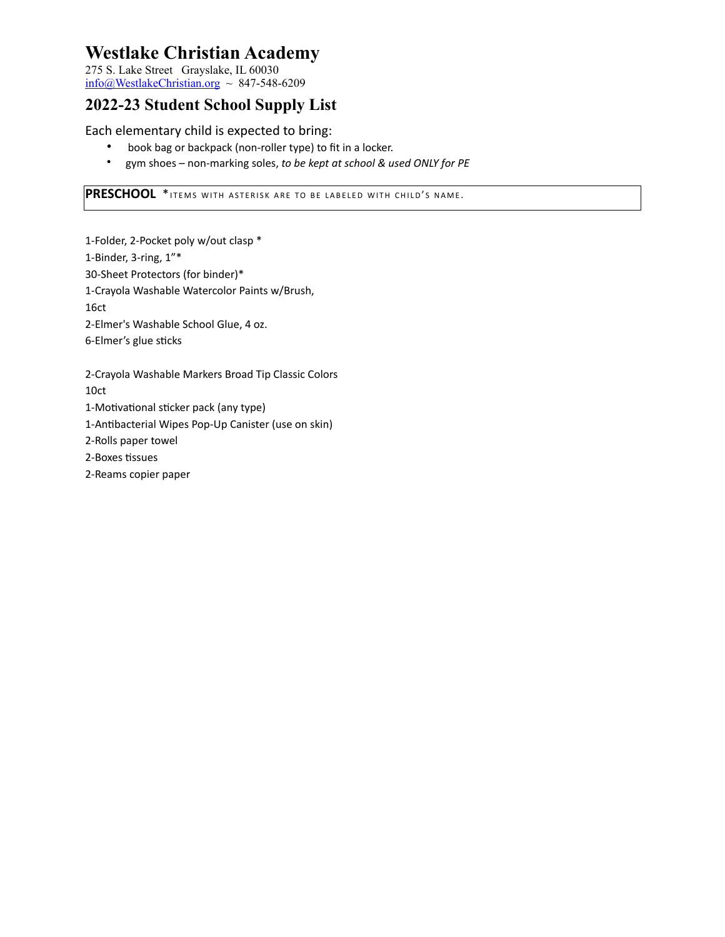275 S. Lake Street Grayslake, IL 60030  $info@WestlakeChristian.org ~ 847-548-6209$  $info@WestlakeChristian.org ~ 847-548-6209$ 

## **2022-23 Student School Supply List**

Each elementary child is expected to bring:

- book bag or backpack (non-roller type) to fit in a locker.
- gym shoes non-marking soles, *to be kept at school & used ONLY for PE*

**PRESCHOOL** \*ITEMS WITH ASTERISK ARE TO BE LABELED WITH CHILD'S NAME.

1-Folder, 2-Pocket poly w/out clasp \* 1-Binder, 3-ring, 1"\* 30-Sheet Protectors (for binder)\* 1-Crayola Washable Watercolor Paints w/Brush, 16ct 2-Elmer's Washable School Glue, 4 oz. 6-Elmer's glue sticks

2-Crayola Washable Markers Broad Tip Classic Colors 10ct

1-Motivational sticker pack (any type)

1-Antibacterial Wipes Pop-Up Canister (use on skin)

2-Rolls paper towel

2-Boxes tissues

2-Reams copier paper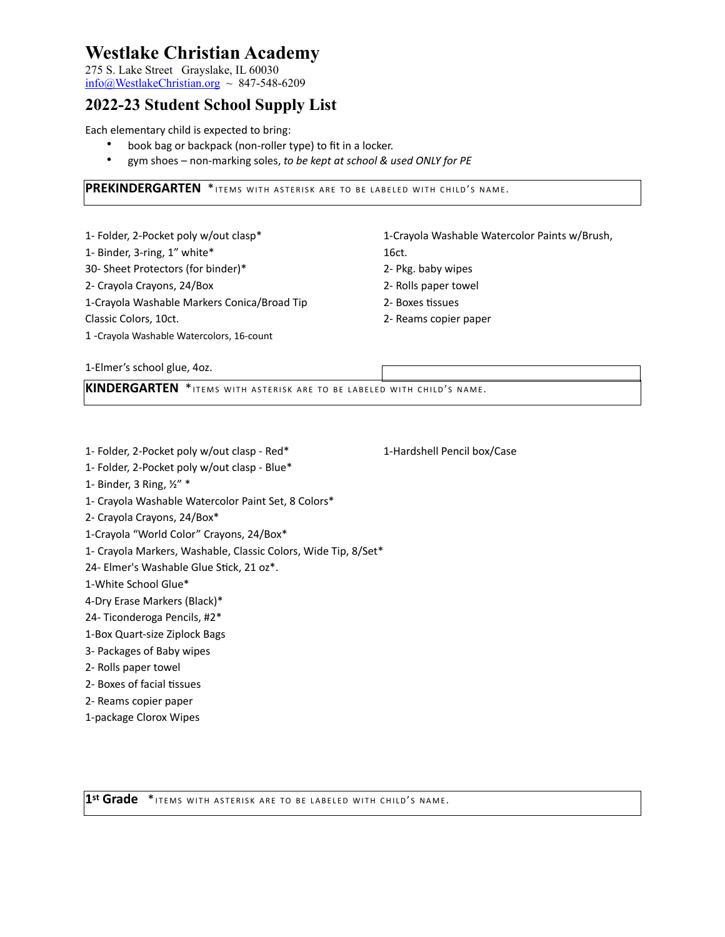275 S. Lake Street Grayslake, IL 60030  $info@WestlakeChristian.org ~ 847-548-6209$  $info@WestlakeChristian.org ~ 847-548-6209$ 

### **2022-23 Student School Supply List**

Each elementary child is expected to bring:

- book bag or backpack (non-roller type) to fit in a locker.
- gym shoes non-marking soles, *to be kept at school & used ONLY for PE*

**PREKINDERGARTEN** \* ITEMS WITH ASTERISK ARE TO BE LABELED WITH CHILD'S NAME.

| 1- Folder, 2-Pocket poly w/out clasp*       | 1-Crayola Washable Watercolor Paints w/Brush, |
|---------------------------------------------|-----------------------------------------------|
| 1- Binder, 3-ring, 1" white*                | 16ct.                                         |
| 30- Sheet Protectors (for binder)*          | 2- Pkg. baby wipes                            |
| 2- Crayola Crayons, 24/Box                  | 2- Rolls paper towel                          |
| 1-Crayola Washable Markers Conica/Broad Tip | 2- Boxes tissues                              |
| Classic Colors, 10ct.                       | 2- Reams copier paper                         |
| 1 - Crayola Washable Watercolors, 16-count  |                                               |

1-Elmer's school glue, 4oz.

**KINDERGARTEN** \* ITEMS WITH ASTERISK ARE TO BE LABELED WITH CHILD'S NAME.

- 1- Folder, 2-Pocket poly w/out clasp Red\* 1-Hardshell Pencil box/Case
- 1- Folder, 2-Pocket poly w/out clasp Blue\*
- 1- Binder, 3 Ring, ½" \*
- 1- Crayola Washable Watercolor Paint Set, 8 Colors\*
- 2- Crayola Crayons, 24/Box\*
- 1-Crayola "World Color" Crayons, 24/Box\*
- 1- Crayola Markers, Washable, Classic Colors, Wide Tip, 8/Set\*

24- Elmer's Washable Glue Stick, 21 oz\*.

1-White School Glue\*

- 4-Dry Erase Markers (Black)\*
- 24- Ticonderoga Pencils, #2\*
- 1-Box Quart-size Ziplock Bags
- 3- Packages of Baby wipes
- 2- Rolls paper towel
- 2- Boxes of facial tissues
- 2- Reams copier paper
- 1-package Clorox Wipes

1st Grade \*ITEMS WITH ASTERISK ARE TO BE LABELED WITH CHILD'S NAME.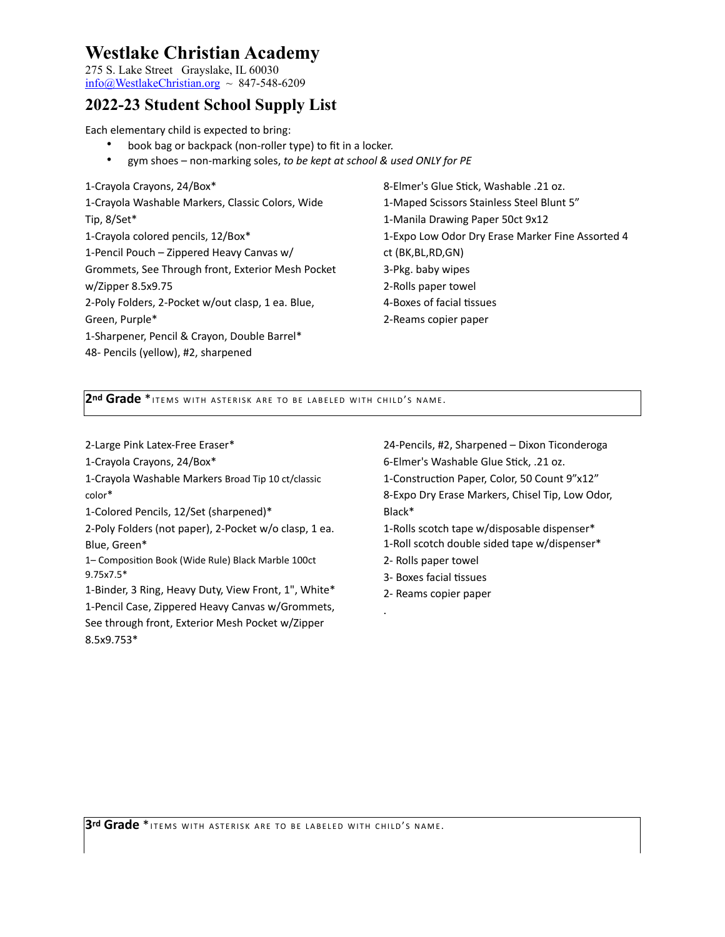275 S. Lake Street Grayslake, IL 60030  $\frac{\text{info}(a)}{\text{WestlakeChristian.org}} \sim 847-548-6209$ 

#### **2022-23 Student School Supply List**

Each elementary child is expected to bring:

- book bag or backpack (non-roller type) to fit in a locker.
- gym shoes non-marking soles, *to be kept at school & used ONLY for PE*

| 1-Crayola Crayons, 24/Box*                        |
|---------------------------------------------------|
| 1-Crayola Washable Markers, Classic Colors, Wide  |
| Tip, 8/Set*                                       |
| 1-Crayola colored pencils, 12/Box*                |
| 1-Pencil Pouch - Zippered Heavy Canvas w/         |
| Grommets, See Through front, Exterior Mesh Pocket |
| w/Zipper 8.5x9.75                                 |
| 2-Poly Folders, 2-Pocket w/out clasp, 1 ea. Blue, |
| Green, Purple*                                    |
| 1-Sharpener, Pencil & Crayon, Double Barrel*      |
| 48- Pencils (yellow), #2, sharpened               |

8-Elmer's Glue Stick, Washable .21 oz. 1-Maped Scissors Stainless Steel Blunt 5" 1-Manila Drawing Paper 50ct 9x12 1-Expo Low Odor Dry Erase Marker Fine Assorted 4 ct (BK,BL,RD,GN) 3-Pkg. baby wipes 2-Rolls paper towel 4-Boxes of facial tissues 2-Reams copier paper

2nd Grade \* ITEMS WITH ASTERISK ARE TO BE LABELED WITH CHILD'S NAME.

2-Large Pink Latex-Free Eraser\*

1-Crayola Crayons, 24/Box\*

1-Crayola Washable Markers Broad Tip 10 ct/classic color\*

1-Colored Pencils, 12/Set (sharpened)\*

2-Poly Folders (not paper), 2-Pocket w/o clasp, 1 ea. Blue, Green\*

1– Composition Book (Wide Rule) Black Marble 100ct 9.75x7.5\*

1-Binder, 3 Ring, Heavy Duty, View Front, 1", White\* 1-Pencil Case, Zippered Heavy Canvas w/Grommets, See through front, Exterior Mesh Pocket w/Zipper 8.5x9.753\*

24-Pencils, #2, Sharpened – Dixon Ticonderoga 6-Elmer's Washable Glue Stick, .21 oz. 1-Construction Paper, Color, 50 Count 9"x12"

8-Expo Dry Erase Markers, Chisel Tip, Low Odor, Black\*

1-Rolls scotch tape w/disposable dispenser\* 1-Roll scotch double sided tape w/dispenser\*

- 
- 2- Rolls paper towel
- 3- Boxes facial tissues
- 2- Reams copier paper

.

3<sup>rd</sup> Grade \* ITEMS WITH ASTERISK ARE TO BE LABELED WITH CHILD'S NAME.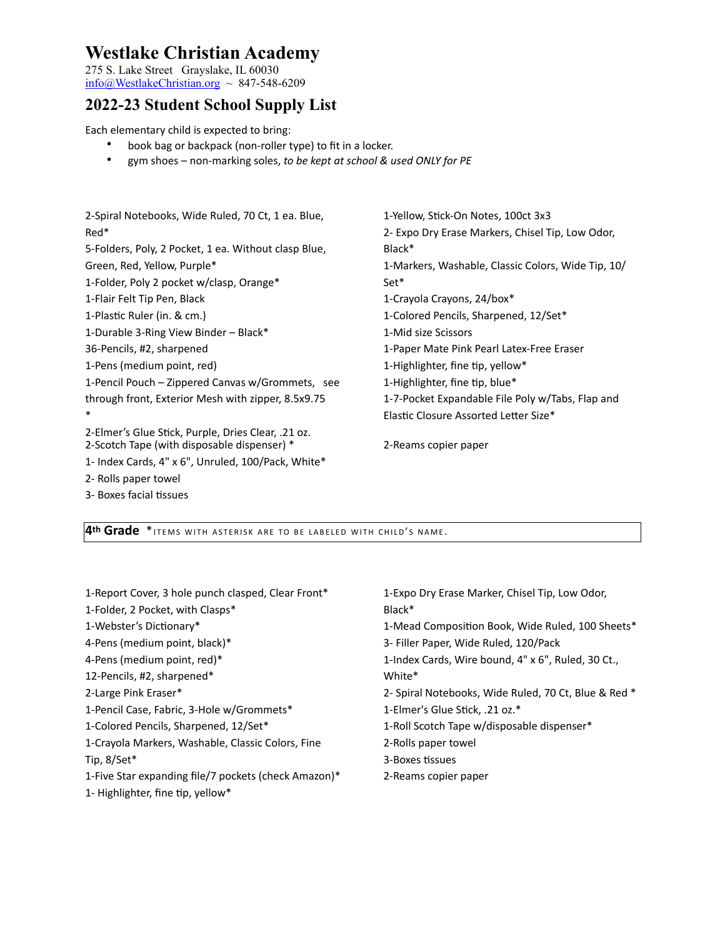275 S. Lake Street Grayslake, IL 60030 [info@WestlakeChristian.org](mailto:info@WestlakeChristian.org) ~ 847-548-6209

## **2022-23 Student School Supply List**

Each elementary child is expected to bring:

2- Rolls paper towel 3- Boxes facial tissues

- book bag or backpack (non-roller type) to fit in a locker.
- gym shoes non-marking soles, *to be kept at school & used ONLY for PE*

| 2-Spiral Notebooks, Wide Ruled, 70 Ct, 1 ea. Blue,                                                | 1-Yellow, Stick-On Notes, 100ct 3x3                |
|---------------------------------------------------------------------------------------------------|----------------------------------------------------|
| Red <sup>*</sup>                                                                                  | 2- Expo Dry Erase Markers, Chisel Tip, Low Odor,   |
| 5-Folders, Poly, 2 Pocket, 1 ea. Without clasp Blue,                                              | Black*                                             |
| Green, Red, Yellow, Purple*                                                                       | 1-Markers, Washable, Classic Colors, Wide Tip, 10/ |
| 1-Folder, Poly 2 pocket w/clasp, Orange*                                                          | Set*                                               |
| 1-Flair Felt Tip Pen, Black                                                                       | 1-Crayola Crayons, 24/box*                         |
| 1-Plastic Ruler (in. & cm.)                                                                       | 1-Colored Pencils, Sharpened, 12/Set*              |
| 1-Durable 3-Ring View Binder - Black*                                                             | 1-Mid size Scissors                                |
| 36-Pencils, #2, sharpened                                                                         | 1-Paper Mate Pink Pearl Latex-Free Eraser          |
| 1-Pens (medium point, red)                                                                        | 1-Highlighter, fine tip, yellow*                   |
| 1-Pencil Pouch - Zippered Canvas w/Grommets, see                                                  | 1-Highlighter, fine tip, blue*                     |
| through front, Exterior Mesh with zipper, 8.5x9.75                                                | 1-7-Pocket Expandable File Poly w/Tabs, Flap and   |
| $\ast$                                                                                            | Elastic Closure Assorted Letter Size*              |
| 2-Elmer's Glue Stick, Purple, Dries Clear, .21 oz.<br>2-Scotch Tape (with disposable dispenser) * | 2-Reams copier paper                               |
| 1- Index Cards, 4" x 6", Unruled, 100/Pack, White*                                                |                                                    |

**4th Grade** \*ITEMS WITH ASTERISK ARE TO BE LABELED WITH CHILD'S NAME.

| 1-Report Cover, 3 hole punch clasped, Clear Front*   | 1-Expo Dry Erase Marker, Chisel Tip, Low Odor,       |
|------------------------------------------------------|------------------------------------------------------|
| 1-Folder, 2 Pocket, with Clasps*                     | Black*                                               |
| 1-Webster's Dictionary*                              | 1-Mead Composition Book, Wide Ruled, 100 Sheets*     |
| 4-Pens (medium point, black)*                        | 3- Filler Paper, Wide Ruled, 120/Pack                |
| 4-Pens (medium point, red)*                          | 1-Index Cards, Wire bound, 4" x 6", Ruled, 30 Ct.,   |
| 12-Pencils, #2, sharpened*                           | White*                                               |
| 2-Large Pink Eraser*                                 | 2- Spiral Notebooks, Wide Ruled, 70 Ct, Blue & Red * |
| 1-Pencil Case, Fabric, 3-Hole w/Grommets*            | 1-Elmer's Glue Stick, .21 oz.*                       |
| 1-Colored Pencils, Sharpened, 12/Set*                | 1-Roll Scotch Tape w/disposable dispenser*           |
| 1-Crayola Markers, Washable, Classic Colors, Fine    | 2-Rolls paper towel                                  |
| Tip, 8/Set*                                          | 3-Boxes tissues                                      |
| 1-Five Star expanding file/7 pockets (check Amazon)* | 2-Reams copier paper                                 |
| 1- Highlighter, fine tip, yellow*                    |                                                      |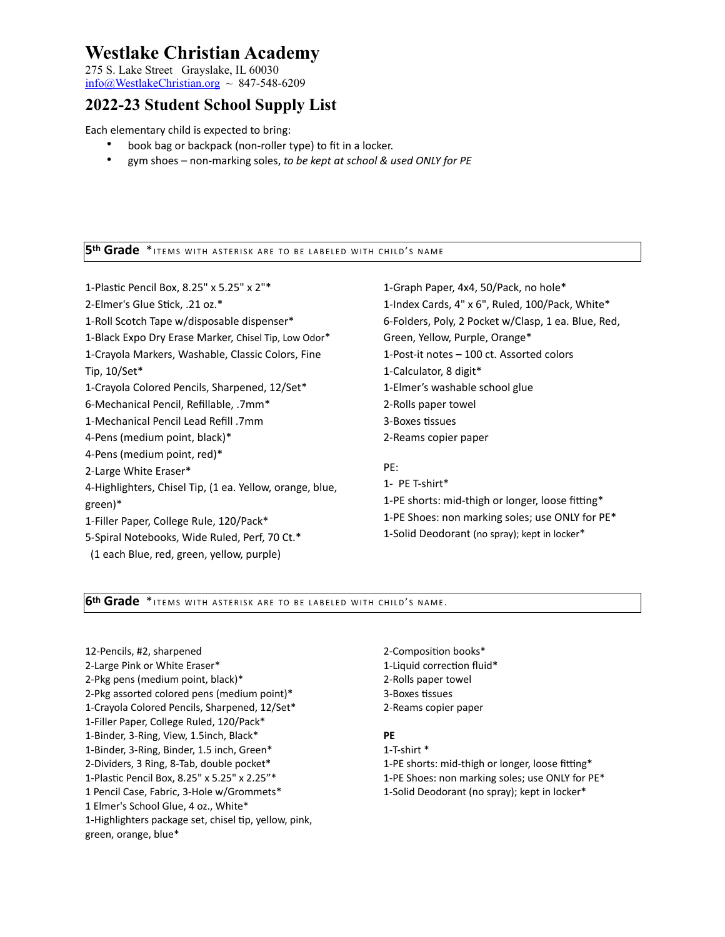275 S. Lake Street Grayslake, IL 60030  $\frac{\text{info}(a)}{\text{WestlakeChristian.org}} \sim 847-548-6209$ 

### **2022-23 Student School Supply List**

Each elementary child is expected to bring:

- book bag or backpack (non-roller type) to fit in a locker.
- gym shoes non-marking soles, *to be kept at school & used ONLY for PE*

#### **5th Grade** \* ITEMS WITH ASTERISK ARE TO BE LABELED WITH CHILD'S NAME

1-Plastic Pencil Box, 8.25" x 5.25" x 2"\* 2-Elmer's Glue Stick, .21 oz.\* 1-Roll Scotch Tape w/disposable dispenser\* 1-Black Expo Dry Erase Marker, Chisel Tip, Low Odor\* 1-Crayola Markers, Washable, Classic Colors, Fine Tip, 10/Set\* 1-Crayola Colored Pencils, Sharpened, 12/Set\* 6-Mechanical Pencil, Refillable, .7mm\* 1-Mechanical Pencil Lead Refill .7mm 4-Pens (medium point, black)\* 4-Pens (medium point, red)\* 2-Large White Eraser\* 4-Highlighters, Chisel Tip, (1 ea. Yellow, orange, blue, green)\* 1-Filler Paper, College Rule, 120/Pack\* 5-Spiral Notebooks, Wide Ruled, Perf, 70 Ct.\*

(1 each Blue, red, green, yellow, purple)

1-Graph Paper, 4x4, 50/Pack, no hole\* 1-Index Cards, 4" x 6", Ruled, 100/Pack, White\* 6-Folders, Poly, 2 Pocket w/Clasp, 1 ea. Blue, Red, Green, Yellow, Purple, Orange\* 1-Post-it notes – 100 ct. Assorted colors 1-Calculator, 8 digit\* 1-Elmer's washable school glue 2-Rolls paper towel 3-Boxes tissues 2-Reams copier paper PE:

1- PE T-shirt\* 1-PE shorts: mid-thigh or longer, loose fitting\* 1-PE Shoes: non marking soles; use ONLY for PE\* 1-Solid Deodorant (no spray); kept in locker\*

#### **6th Grade** \*ITEMS WITH ASTERISK ARE TO BE LABELED WITH CHILD'S NAME.

12-Pencils, #2, sharpened 2-Large Pink or White Eraser\* 2-Pkg pens (medium point, black)\* 2-Pkg assorted colored pens (medium point)\* 1-Crayola Colored Pencils, Sharpened, 12/Set\* 1-Filler Paper, College Ruled, 120/Pack\* 1-Binder, 3-Ring, View, 1.5inch, Black\* 1-Binder, 3-Ring, Binder, 1.5 inch, Green\* 2-Dividers, 3 Ring, 8-Tab, double pocket\* 1-Plastic Pencil Box, 8.25" x 5.25" x 2.25"\* 1 Pencil Case, Fabric, 3-Hole w/Grommets\* 1 Elmer's School Glue, 4 oz., White\* 1-Highlighters package set, chisel tip, yellow, pink, green, orange, blue\*

2-Composition books\* 1-Liquid correction fluid\* 2-Rolls paper towel 3-Boxes tissues 2-Reams copier paper

#### **PE**

1-T-shirt \* 1-PE shorts: mid-thigh or longer, loose fitting\* 1-PE Shoes: non marking soles; use ONLY for PE\* 1-Solid Deodorant (no spray); kept in locker\*